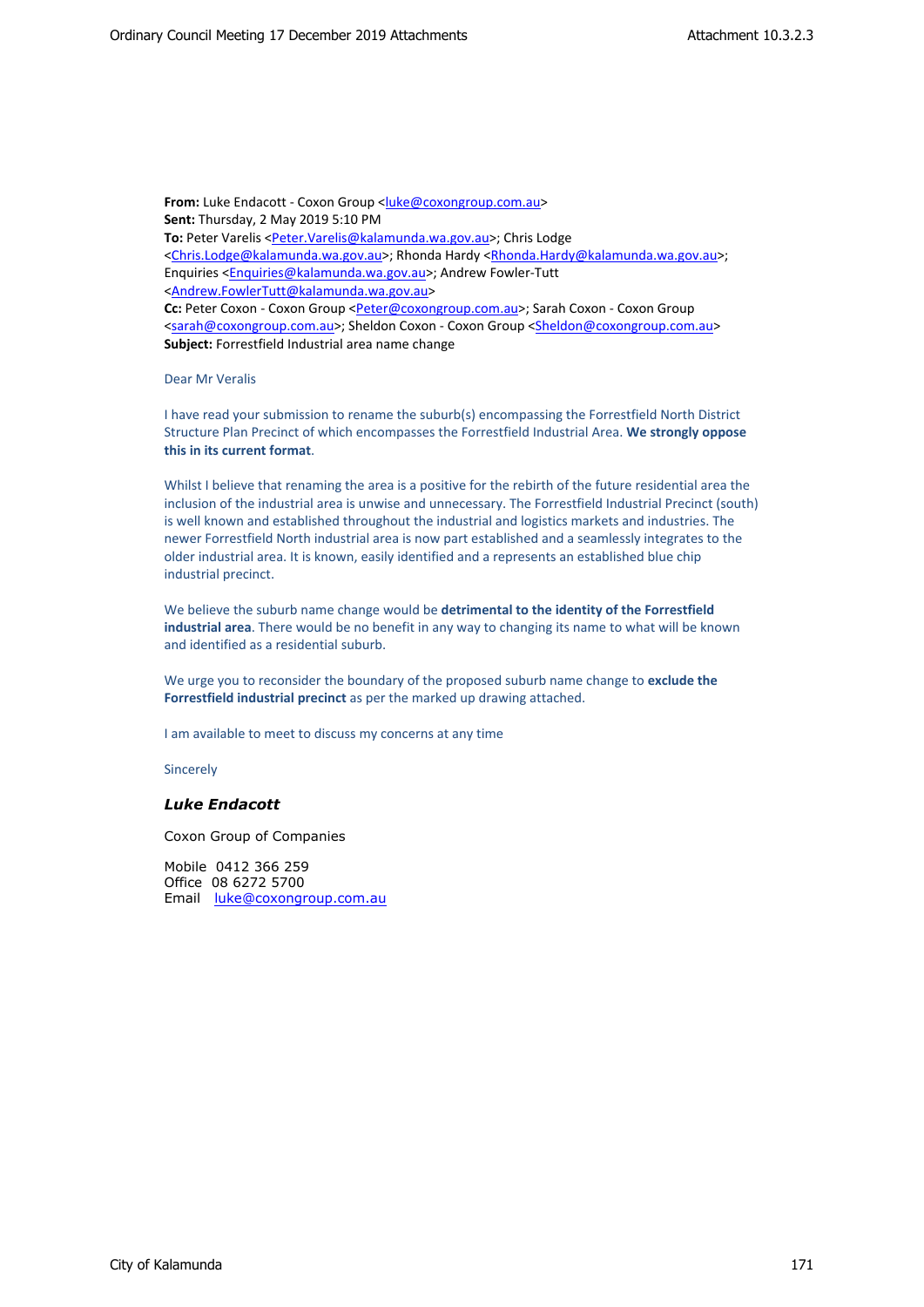From: Luke Endacott - Coxon Group [<luke@coxongroup.com.au](mailto:luke@coxongroup.com.au)> **Sent:** Thursday, 2 May 2019 5:10 PM **To:** Peter Varelis [<Peter.Varelis@kalamunda.wa.gov.au](mailto:Peter.Varelis@kalamunda.wa.gov.au)>; Chris Lodge <[Chris.Lodge@kalamunda.wa.gov.au](mailto:Chris.Lodge@kalamunda.wa.gov.au)>; Rhonda Hardy [<Rhonda.Hardy@kalamunda.wa.gov.au](mailto:Rhonda.Hardy@kalamunda.wa.gov.au)>; Enquiries <[Enquiries@kalamunda.wa.gov.au>](mailto:Enquiries@kalamunda.wa.gov.au); Andrew Fowler-Tutt <[Andrew.FowlerTutt@kalamunda.wa.gov.au>](mailto:Andrew.FowlerTutt@kalamunda.wa.gov.au) **Cc:** Peter Coxon - Coxon Group <[Peter@coxongroup.com.au](mailto:Peter@coxongroup.com.au)>; Sarah Coxon - Coxon Group <[sarah@coxongroup.com.au](mailto:sarah@coxongroup.com.au)>; Sheldon Coxon - Coxon Group <[Sheldon@coxongroup.com.au>](mailto:Sheldon@coxongroup.com.au) **Subject:** Forrestfield Industrial area name change

Dear Mr Veralis

I have read your submission to rename the suburb(s) encompassing the Forrestfield North District Structure Plan Precinct of which encompasses the Forrestfield Industrial Area. **We strongly oppose this in its current format**.

Whilst I believe that renaming the area is a positive for the rebirth of the future residential area the inclusion of the industrial area is unwise and unnecessary. The Forrestfield Industrial Precinct (south) is well known and established throughout the industrial and logistics markets and industries. The newer Forrestfield North industrial area is now part established and a seamlessly integrates to the older industrial area. It is known, easily identified and a represents an established blue chip industrial precinct.

We believe the suburb name change would be **detrimental to the identity of the Forrestfield industrial area**. There would be no benefit in any way to changing its name to what will be known and identified as a residential suburb.

We urge you to reconsider the boundary of the proposed suburb name change to **exclude the Forrestfield industrial precinct** as per the marked up drawing attached.

I am available to meet to discuss my concerns at any time

Sincerely

## *Luke Endacott*

Coxon Group of Companies

Mobile 0412 366 259 Office 08 6272 5700 Email [luke@coxongroup.com.au](mailto:luke@coxongroup.com.au)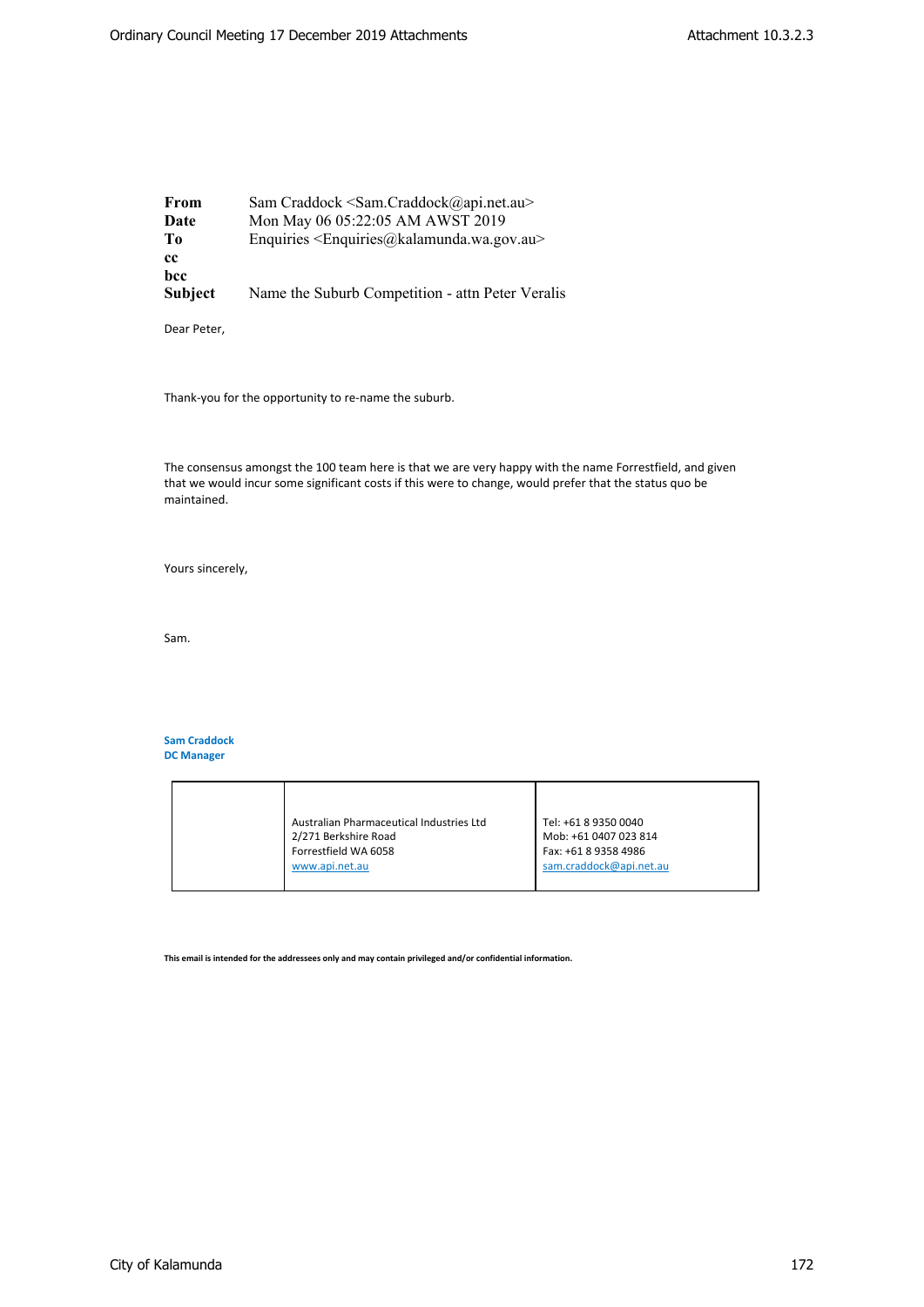**From** Sam Craddock <Sam.Craddock@api.net.au> **Date** Mon May 06 05:22:05 AM AWST 2019 **To** Enquiries <Enquiries@kalamunda.wa.gov.au> **cc bcc Subject** Name the Suburb Competition - attn Peter Veralis

Dear Peter,

Thank-you for the opportunity to re-name the suburb.

The consensus amongst the 100 team here is that we are very happy with the name Forrestfield, and given that we would incur some significant costs if this were to change, would prefer that the status quo be maintained.

Yours sincerely,

Sam.

## **Sam Craddock DC Manager**

| Australian Pharmaceutical Industries Ltd<br>2/271 Berkshire Road<br>Forrestfield WA 6058<br>www.api.net.au | Tel: +61 8 9350 0040<br>Mob: +61 0407 023 814<br>Fax: +61 8 9358 4986<br>sam.craddock@api.net.au |
|------------------------------------------------------------------------------------------------------------|--------------------------------------------------------------------------------------------------|

**This email is intended for the addressees only and may contain privileged and/or confidential information.**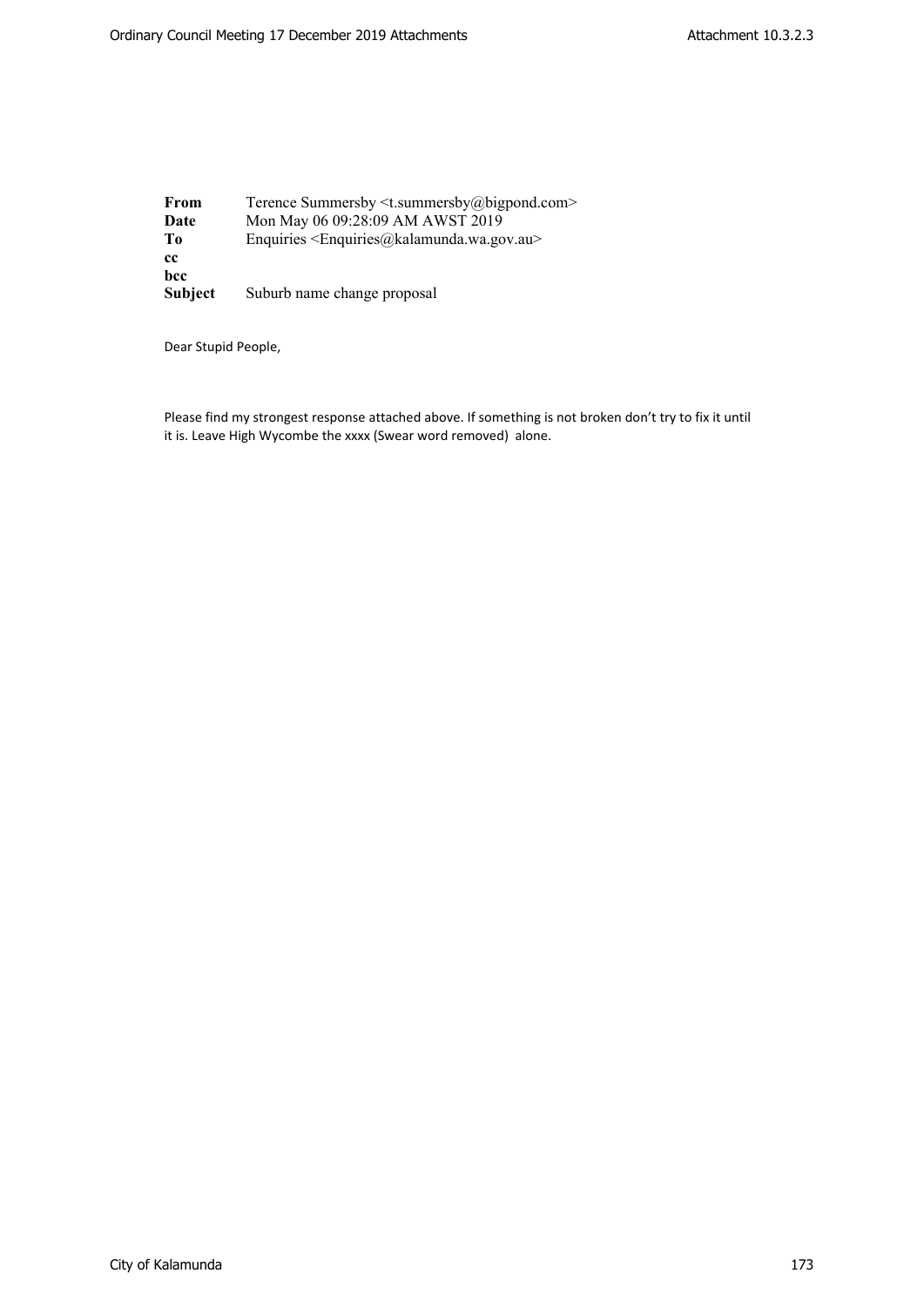**From** Terence Summersby <t.summersby@bigpond.com><br>**Date** Mon May 06 09:28:09 AM AWST 2019 **Date** Mon May 06 09:28:09 AM AWST 2019 **To** Enquiries <Enquiries@kalamunda.wa.gov.au> **cc bcc Subject** Suburb name change proposal

Dear Stupid People,

Please find my strongest response attached above. If something is not broken don't try to fix it until it is. Leave High Wycombe the xxxx (Swear word removed) alone.